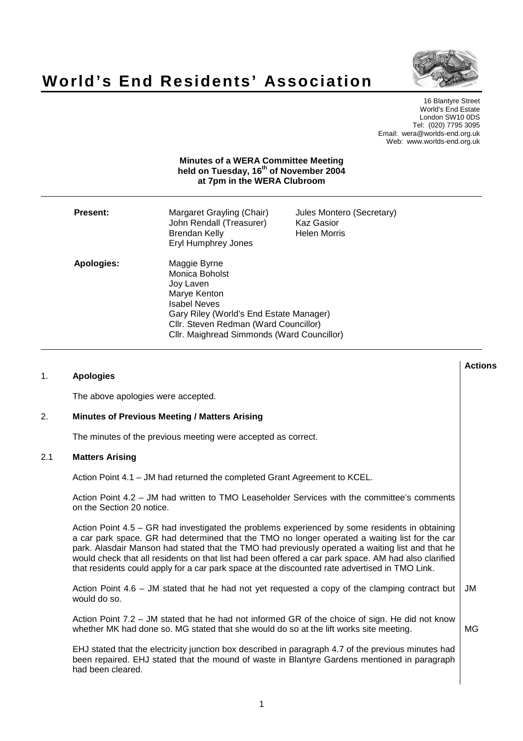



**Actions**

16 Blantyre Street World's End Estate London SW10 0DS Tel: (020) 7795 3095 Email: wera@worlds-end.org.uk Web: www.worlds-end.org.uk

## **Minutes of a WERA Committee Meeting held on Tuesday, 16 th of November 2004 at 7pm in the WERA Clubroom**

| <b>Present:</b> | Margaret Grayling (Chair)<br>John Rendall (Treasurer)<br>Brendan Kelly<br>Eryl Humphrey Jones                                                                                                                        | Jules Montero (Secretary)<br><b>Kaz Gasior</b><br><b>Helen Morris</b> |
|-----------------|----------------------------------------------------------------------------------------------------------------------------------------------------------------------------------------------------------------------|-----------------------------------------------------------------------|
| Apologies:      | Maggie Byrne<br>Monica Boholst<br>Joy Laven<br>Marye Kenton<br><b>Isabel Neves</b><br>Gary Riley (World's End Estate Manager)<br>Cllr. Steven Redman (Ward Councillor)<br>Cllr. Maighread Simmonds (Ward Councillor) |                                                                       |

# 1. **Apologies** The above apologies were accepted. 2. **Minutes of Previous Meeting / Matters Arising** The minutes of the previous meeting were accepted as correct. 2.1 **Matters Arising** Action Point 4.1 – JM had returned the completed Grant Agreement to KCEL. Action Point 4.2 – JM had written to TMO Leaseholder Services with the committee's comments on the Section 20 notice. Action Point 4.5 – GR had investigated the problems experienced by some residents in obtaining a car park space. GR had determined that the TMO no longer operated a waiting list for the car park. Alasdair Manson had stated that the TMO had previously operated a waiting list and that he would check that all residents on that list had been offered a car park space. AM had also clarified that residents could apply for a car park space at the discounted rate advertised in TMO Link. Action Point 4.6 – JM stated that he had not yet requested a copy of the clamping contract but would do so. Action Point 7.2 – JM stated that he had not informed GR of the choice of sign. He did not know whether MK had done so. MG stated that she would do so at the lift works site meeting. EHJ stated that the electricity junction box described in paragraph 4.7 of the previous minutes had been repaired. EHJ stated that the mound of waste in Blantyre Gardens mentioned in paragraph had been cleared. JM MG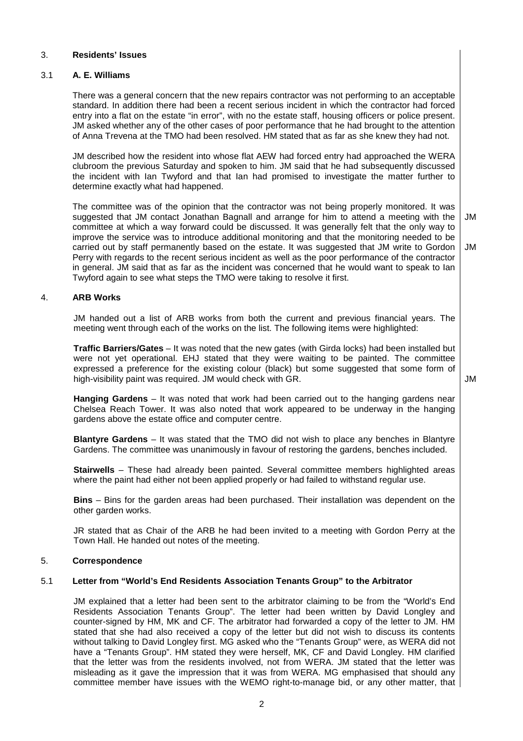# 3. **Residents' Issues**

# 3.1 **A. E. Williams**

There was a general concern that the new repairs contractor was not performing to an acceptable standard. In addition there had been a recent serious incident in which the contractor had forced entry into a flat on the estate "in error", with no the estate staff, housing officers or police present. JM asked whether any of the other cases of poor performance that he had brought to the attention of Anna Trevena at the TMO had been resolved. HM stated that as far as she knew they had not.

JM described how the resident into whose flat AEW had forced entry had approached the WERA clubroom the previous Saturday and spoken to him. JM said that he had subsequently discussed the incident with Ian Twyford and that Ian had promised to investigate the matter further to determine exactly what had happened.

The committee was of the opinion that the contractor was not being properly monitored. It was suggested that JM contact Jonathan Bagnall and arrange for him to attend a meeting with the committee at which a way forward could be discussed. It was generally felt that the only way to improve the service was to introduce additional monitoring and that the monitoring needed to be carried out by staff permanently based on the estate. It was suggested that JM write to Gordon Perry with regards to the recent serious incident as well as the poor performance of the contractor in general. JM said that as far as the incident was concerned that he would want to speak to Ian Twyford again to see what steps the TMO were taking to resolve it first. JM JM

# 4. **ARB Works**

JM handed out a list of ARB works from both the current and previous financial years. The meeting went through each of the works on the list. The following items were highlighted:

**Traffic Barriers/Gates** – It was noted that the new gates (with Girda locks) had been installed but were not yet operational. EHJ stated that they were waiting to be painted. The committee expressed a preference for the existing colour (black) but some suggested that some form of high-visibility paint was required. JM would check with GR.

JM

**Hanging Gardens** – It was noted that work had been carried out to the hanging gardens near Chelsea Reach Tower. It was also noted that work appeared to be underway in the hanging gardens above the estate office and computer centre.

**Blantyre Gardens** – It was stated that the TMO did not wish to place any benches in Blantyre Gardens. The committee was unanimously in favour of restoring the gardens, benches included.

**Stairwells** – These had already been painted. Several committee members highlighted areas where the paint had either not been applied properly or had failed to withstand regular use.

**Bins** – Bins for the garden areas had been purchased. Their installation was dependent on the other garden works.

JR stated that as Chair of the ARB he had been invited to a meeting with Gordon Perry at the Town Hall. He handed out notes of the meeting.

## 5. **Correspondence**

## 5.1 **Letter from "World's End Residents Association Tenants Group" to the Arbitrator**

JM explained that a letter had been sent to the arbitrator claiming to be from the "World's End Residents Association Tenants Group". The letter had been written by David Longley and counter-signed by HM, MK and CF. The arbitrator had forwarded a copy of the letter to JM. HM stated that she had also received a copy of the letter but did not wish to discuss its contents without talking to David Longley first. MG asked who the "Tenants Group" were, as WERA did not have a "Tenants Group". HM stated they were herself, MK, CF and David Longley. HM clarified that the letter was from the residents involved, not from WERA. JM stated that the letter was misleading as it gave the impression that it was from WERA. MG emphasised that should any committee member have issues with the WEMO right-to-manage bid, or any other matter, that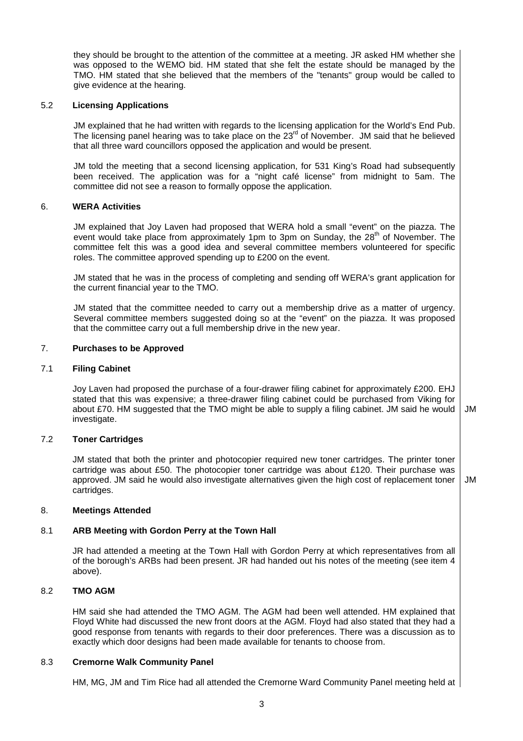they should be brought to the attention of the committee at a meeting. JR asked HM whether she was opposed to the WEMO bid. HM stated that she felt the estate should be managed by the TMO. HM stated that she believed that the members of the "tenants" group would be called to give evidence at the hearing.

## 5.2 **Licensing Applications**

JM explained that he had written with regards to the licensing application for the World's End Pub. The licensing panel hearing was to take place on the 23<sup>rd</sup> of November. JM said that he believed that all three ward councillors opposed the application and would be present.

JM told the meeting that a second licensing application, for 531 King's Road had subsequently been received. The application was for a "night café license" from midnight to 5am. The committee did not see a reason to formally oppose the application.

# 6. **WERA Activities**

JM explained that Joy Laven had proposed that WERA hold a small "event" on the piazza. The event would take place from approximately 1pm to 3pm on Sunday, the 28<sup>th</sup> of November. The committee felt this was a good idea and several committee members volunteered for specific roles. The committee approved spending up to £200 on the event.

JM stated that he was in the process of completing and sending off WERA's grant application for the current financial year to the TMO.

JM stated that the committee needed to carry out a membership drive as a matter of urgency. Several committee members suggested doing so at the "event" on the piazza. It was proposed that the committee carry out a full membership drive in the new year.

# 7. **Purchases to be Approved**

## 7.1 **Filing Cabinet**

Joy Laven had proposed the purchase of a four-drawer filing cabinet for approximately £200. EHJ stated that this was expensive; a three-drawer filing cabinet could be purchased from Viking for about £70. HM suggested that the TMO might be able to supply a filing cabinet. JM said he would investigate. JM

## 7.2 **Toner Cartridges**

JM stated that both the printer and photocopier required new toner cartridges. The printer toner cartridge was about £50. The photocopier toner cartridge was about £120. Their purchase was approved. JM said he would also investigate alternatives given the high cost of replacement toner cartridges.

JM

## 8. **Meetings Attended**

# 8.1 **ARB Meeting with Gordon Perry at the Town Hall**

JR had attended a meeting at the Town Hall with Gordon Perry at which representatives from all of the borough's ARBs had been present. JR had handed out his notes of the meeting (see item 4 above).

# 8.2 **TMO AGM**

HM said she had attended the TMO AGM. The AGM had been well attended. HM explained that Floyd White had discussed the new front doors at the AGM. Floyd had also stated that they had a good response from tenants with regards to their door preferences. There was a discussion as to exactly which door designs had been made available for tenants to choose from.

## 8.3 **Cremorne Walk Community Panel**

HM, MG, JM and Tim Rice had all attended the Cremorne Ward Community Panel meeting held at